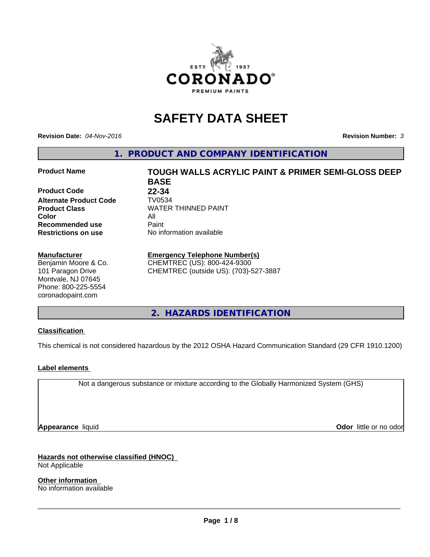

# **SAFETY DATA SHEET**

**Revision Date:** *04-Nov-2016* **Revision Number:** *3*

**1. PRODUCT AND COMPANY IDENTIFICATION**

### **Product Name TOUGH WALLS ACRYLIC PAINT & PRIMER SEMI-GLOSS DEEP**

**Product Code 22-34 Alternate Product Code TV0534**<br>**Product Class** WATER **Color** All **Recommended use** Paint<br> **Restrictions on use** No inf

#### **Manufacturer**

Benjamin Moore & Co. 101 Paragon Drive Montvale, NJ 07645 Phone: 800-225-5554 coronadopaint.com

**BASE Product Class** WATER THINNED PAINT<br>
Color **No information available** 

# **Emergency Telephone Number(s)**

CHEMTREC (US): 800-424-9300 CHEMTREC (outside US): (703)-527-3887

**2. HAZARDS IDENTIFICATION**

# **Classification**

This chemical is not considered hazardous by the 2012 OSHA Hazard Communication Standard (29 CFR 1910.1200)

# **Label elements**

Not a dangerous substance or mixture according to the Globally Harmonized System (GHS)

**Appearance** liquid **Contract Contract Contract Contract Contract Contract Contract Contract Contract Contract Contract Contract Contract Contract Contract Contract Contract Contract Contract Contract Contract Contract Con** 

**Hazards not otherwise classified (HNOC)** Not Applicable

**Other information** No information available

 $\overline{\phantom{a}}$  ,  $\overline{\phantom{a}}$  ,  $\overline{\phantom{a}}$  ,  $\overline{\phantom{a}}$  ,  $\overline{\phantom{a}}$  ,  $\overline{\phantom{a}}$  ,  $\overline{\phantom{a}}$  ,  $\overline{\phantom{a}}$  ,  $\overline{\phantom{a}}$  ,  $\overline{\phantom{a}}$  ,  $\overline{\phantom{a}}$  ,  $\overline{\phantom{a}}$  ,  $\overline{\phantom{a}}$  ,  $\overline{\phantom{a}}$  ,  $\overline{\phantom{a}}$  ,  $\overline{\phantom{a}}$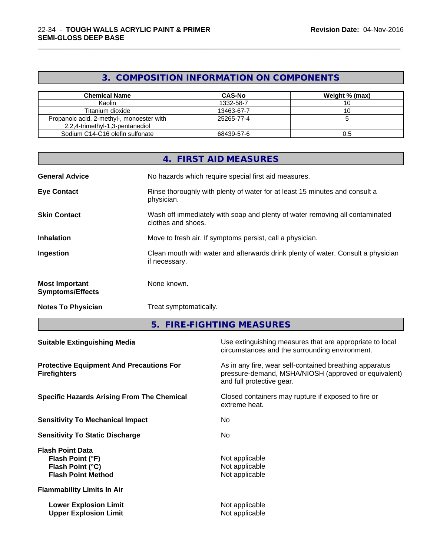# **3. COMPOSITION INFORMATION ON COMPONENTS**

\_\_\_\_\_\_\_\_\_\_\_\_\_\_\_\_\_\_\_\_\_\_\_\_\_\_\_\_\_\_\_\_\_\_\_\_\_\_\_\_\_\_\_\_\_\_\_\_\_\_\_\_\_\_\_\_\_\_\_\_\_\_\_\_\_\_\_\_\_\_\_\_\_\_\_\_\_\_\_\_\_\_\_\_\_\_\_\_\_\_\_\_\_

| <b>Chemical Name</b>                                                         | <b>CAS-No</b> | Weight % (max) |
|------------------------------------------------------------------------------|---------------|----------------|
| Kaolin                                                                       | 1332-58-7     |                |
| Titanium dioxide                                                             | 13463-67-7    |                |
| Propanoic acid, 2-methyl-, monoester with<br>2,2,4-trimethyl-1,3-pentanediol | 25265-77-4    |                |
| Sodium C14-C16 olefin sulfonate                                              | 68439-57-6    | υ.c            |

|                                                  | 4. FIRST AID MEASURES                                                                              |
|--------------------------------------------------|----------------------------------------------------------------------------------------------------|
| <b>General Advice</b>                            | No hazards which require special first aid measures.                                               |
| <b>Eye Contact</b>                               | Rinse thoroughly with plenty of water for at least 15 minutes and consult a<br>physician.          |
| <b>Skin Contact</b>                              | Wash off immediately with soap and plenty of water removing all contaminated<br>clothes and shoes. |
| <b>Inhalation</b>                                | Move to fresh air. If symptoms persist, call a physician.                                          |
| Ingestion                                        | Clean mouth with water and afterwards drink plenty of water. Consult a physician<br>if necessary.  |
| <b>Most Important</b><br><b>Symptoms/Effects</b> | None known.                                                                                        |
| <b>Notes To Physician</b>                        | Treat symptomatically.                                                                             |

**5. FIRE-FIGHTING MEASURES**

| <b>Suitable Extinguishing Media</b>                                                          | Use extinguishing measures that are appropriate to local<br>circumstances and the surrounding environment.                                   |
|----------------------------------------------------------------------------------------------|----------------------------------------------------------------------------------------------------------------------------------------------|
| <b>Protective Equipment And Precautions For</b><br><b>Firefighters</b>                       | As in any fire, wear self-contained breathing apparatus<br>pressure-demand, MSHA/NIOSH (approved or equivalent)<br>and full protective gear. |
| <b>Specific Hazards Arising From The Chemical</b>                                            | Closed containers may rupture if exposed to fire or<br>extreme heat.                                                                         |
| <b>Sensitivity To Mechanical Impact</b>                                                      | No.                                                                                                                                          |
| <b>Sensitivity To Static Discharge</b>                                                       | No.                                                                                                                                          |
| <b>Flash Point Data</b><br>Flash Point (°F)<br>Flash Point (°C)<br><b>Flash Point Method</b> | Not applicable<br>Not applicable<br>Not applicable                                                                                           |
| <b>Flammability Limits In Air</b>                                                            |                                                                                                                                              |
| <b>Lower Explosion Limit</b><br><b>Upper Explosion Limit</b>                                 | Not applicable<br>Not applicable                                                                                                             |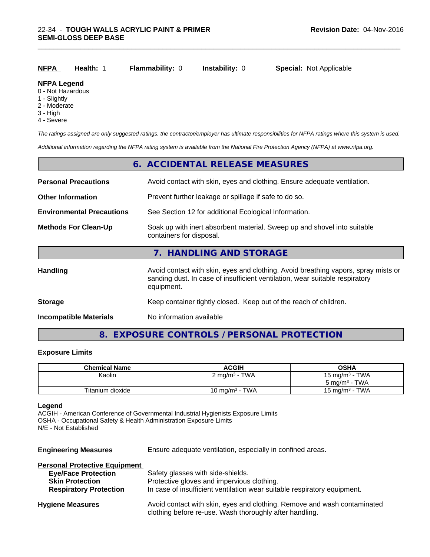| NFPA | <b>Health: 1</b> | <b>Flammability: 0</b> | <b>Instability: 0</b> | <b>Special: Not Applicable</b> |
|------|------------------|------------------------|-----------------------|--------------------------------|
|      |                  |                        |                       |                                |

#### **NFPA Legend**

- 0 Not Hazardous
- 1 Slightly
- 2 Moderate
- 3 High
- 4 Severe

*The ratings assigned are only suggested ratings, the contractor/employer has ultimate responsibilities for NFPA ratings where this system is used.*

\_\_\_\_\_\_\_\_\_\_\_\_\_\_\_\_\_\_\_\_\_\_\_\_\_\_\_\_\_\_\_\_\_\_\_\_\_\_\_\_\_\_\_\_\_\_\_\_\_\_\_\_\_\_\_\_\_\_\_\_\_\_\_\_\_\_\_\_\_\_\_\_\_\_\_\_\_\_\_\_\_\_\_\_\_\_\_\_\_\_\_\_\_

*Additional information regarding the NFPA rating system is available from the National Fire Protection Agency (NFPA) at www.nfpa.org.*

|                                  | 6. ACCIDENTAL RELEASE MEASURES                                                                                                                                                   |
|----------------------------------|----------------------------------------------------------------------------------------------------------------------------------------------------------------------------------|
| <b>Personal Precautions</b>      | Avoid contact with skin, eyes and clothing. Ensure adequate ventilation.                                                                                                         |
| <b>Other Information</b>         | Prevent further leakage or spillage if safe to do so.                                                                                                                            |
| <b>Environmental Precautions</b> | See Section 12 for additional Ecological Information.                                                                                                                            |
| <b>Methods For Clean-Up</b>      | Soak up with inert absorbent material. Sweep up and shovel into suitable<br>containers for disposal.                                                                             |
|                                  | 7. HANDLING AND STORAGE                                                                                                                                                          |
| <b>Handling</b>                  | Avoid contact with skin, eyes and clothing. Avoid breathing vapors, spray mists or<br>sanding dust. In case of insufficient ventilation, wear suitable respiratory<br>equipment. |
| <b>Storage</b>                   | Keep container tightly closed. Keep out of the reach of children.                                                                                                                |
| <b>Incompatible Materials</b>    | No information available                                                                                                                                                         |

# **8. EXPOSURE CONTROLS / PERSONAL PROTECTION**

# **Exposure Limits**

| <b>Chemical Name</b> | <b>ACGIH</b>             | <b>OSHA</b>              |
|----------------------|--------------------------|--------------------------|
| Kaolin               | $2 \text{ mg/m}^3$ - TWA | 15 mg/m $3$ - TWA        |
|                      |                          | $5 \text{ mg/m}^3$ - TWA |
| Titanium dioxide     | 10 mg/m $3$ - TWA        | 15 mg/m $3$ - TWA        |

### **Legend**

ACGIH - American Conference of Governmental Industrial Hygienists Exposure Limits OSHA - Occupational Safety & Health Administration Exposure Limits N/E - Not Established

| <b>Engineering Measures</b>          | Ensure adequate ventilation, especially in confined areas.                                                                          |
|--------------------------------------|-------------------------------------------------------------------------------------------------------------------------------------|
| <b>Personal Protective Equipment</b> |                                                                                                                                     |
| <b>Eye/Face Protection</b>           | Safety glasses with side-shields.                                                                                                   |
| <b>Skin Protection</b>               | Protective gloves and impervious clothing.                                                                                          |
| <b>Respiratory Protection</b>        | In case of insufficient ventilation wear suitable respiratory equipment.                                                            |
| <b>Hygiene Measures</b>              | Avoid contact with skin, eyes and clothing. Remove and wash contaminated<br>clothing before re-use. Wash thoroughly after handling. |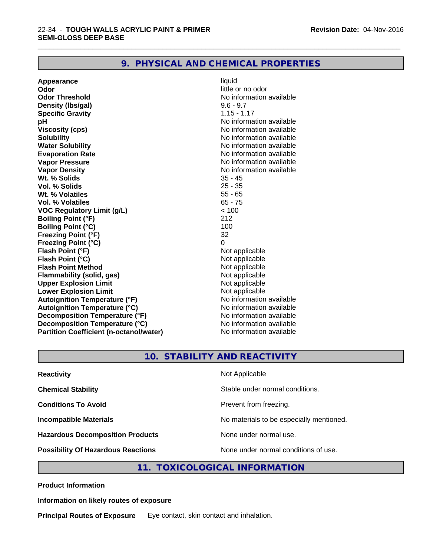# **9. PHYSICAL AND CHEMICAL PROPERTIES**

**Appearance** liquid **Odor** little or no odor **Odor Threshold No information available No information available Density (Ibs/gal)** 9.6 - 9.7 **Specific Gravity** 1.15 - 1.17 **pH pH**  $\blacksquare$ **Viscosity (cps)** No information available **Solubility Note 2008 Note 2008 Note 2008 Note 2008 Note 2008 Note 2008 Note 2008 Note 2008 Note 2008 Note 2008 Note 2008 Note 2008 Note 2008 Note 2008 Note 2008 Note 2008 Note 2008 Note Water Solubility No information available No information available Evaporation Rate No information available No information available Vapor Pressure** No information available **Vapor Density Vapor Density No information available Wt. % Solids** 35 - 45 **Vol. % Solids Wt. % Volatiles** 55 - 65 **Vol. % Volatiles** 65 - 75<br> **VOC Requiatory Limit (q/L)**  $\leq 100$ **VOC** Regulatory Limit (g/L) **Boiling Point (°F)** 212 **Boiling Point (°C)** 100<br> **Preezing Point (°F)** 32 **Freezing Point (°F) Freezing Point (°C)** 0 **Flash Point (°F)**<br> **Flash Point (°C)**<br> **Flash Point (°C)**<br> **C Flash Point (°C)**<br> **Flash Point Method**<br> **Flash Point Method**<br> **Point Method**<br> **Point Method**<br> **Point Method Flash Point Method Flammability (solid, gas)** Not applicable **Upper Explosion Limit Lower Explosion Limit Contract Accord Accord Accord Accord Accord Accord Accord Accord Accord Accord Accord Accord Accord Accord Accord Accord Accord Accord Accord Accord Accord Accord Accord Accord Accord Accord Accord Autoignition Temperature (°F)**<br> **Autoignition Temperature (°C)** No information available **Autoignition Temperature (°C) Decomposition Temperature (°F)** No information available **Decomposition Temperature (°C)** No information available<br> **Partition Coefficient (n-octanol/water)** No information available **Partition Coefficient (n-octanol/water)** 

\_\_\_\_\_\_\_\_\_\_\_\_\_\_\_\_\_\_\_\_\_\_\_\_\_\_\_\_\_\_\_\_\_\_\_\_\_\_\_\_\_\_\_\_\_\_\_\_\_\_\_\_\_\_\_\_\_\_\_\_\_\_\_\_\_\_\_\_\_\_\_\_\_\_\_\_\_\_\_\_\_\_\_\_\_\_\_\_\_\_\_\_\_

# **10. STABILITY AND REACTIVITY**

| <b>Reactivity</b>                         | Not Applicable                           |
|-------------------------------------------|------------------------------------------|
| <b>Chemical Stability</b>                 | Stable under normal conditions.          |
| <b>Conditions To Avoid</b>                | Prevent from freezing.                   |
| <b>Incompatible Materials</b>             | No materials to be especially mentioned. |
| <b>Hazardous Decomposition Products</b>   | None under normal use.                   |
| <b>Possibility Of Hazardous Reactions</b> | None under normal conditions of use.     |

# **11. TOXICOLOGICAL INFORMATION**

**Product Information**

### **Information on likely routes of exposure**

**Principal Routes of Exposure** Eye contact, skin contact and inhalation.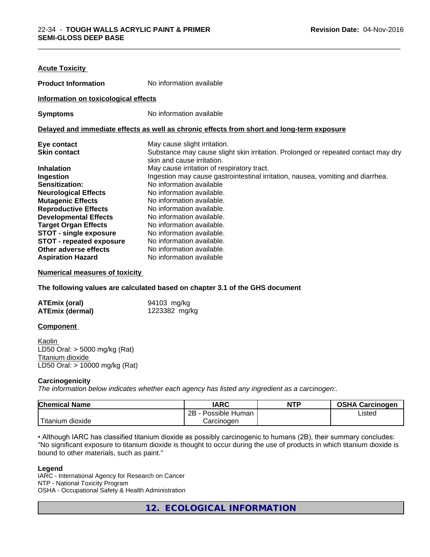| <b>Acute Toxicity</b>                |                                                                                            |
|--------------------------------------|--------------------------------------------------------------------------------------------|
| <b>Product Information</b>           | No information available                                                                   |
| Information on toxicological effects |                                                                                            |
| <b>Symptoms</b>                      | No information available                                                                   |
|                                      | Delayed and immediate effects as well as chronic effects from short and long-term exposure |
| Eye contact                          | May cause slight irritation.                                                               |
| <b>Skin contact</b>                  | Substance may cause slight skin irritation. Prolonged or repeated contact may dry          |
|                                      | skin and cause irritation.                                                                 |
| <b>Inhalation</b>                    | May cause irritation of respiratory tract.                                                 |
| Ingestion                            | Ingestion may cause gastrointestinal irritation, nausea, vomiting and diarrhea.            |
| Sensitization:                       | No information available                                                                   |
| <b>Neurological Effects</b>          | No information available.                                                                  |
| <b>Mutagenic Effects</b>             | No information available.                                                                  |
| <b>Reproductive Effects</b>          | No information available.                                                                  |
| <b>Developmental Effects</b>         | No information available.                                                                  |
| <b>Target Organ Effects</b>          | No information available.                                                                  |
| <b>STOT - single exposure</b>        | No information available.                                                                  |
| <b>STOT - repeated exposure</b>      | No information available.                                                                  |
| Other adverse effects                | No information available.                                                                  |
| <b>Aspiration Hazard</b>             | No information available                                                                   |

\_\_\_\_\_\_\_\_\_\_\_\_\_\_\_\_\_\_\_\_\_\_\_\_\_\_\_\_\_\_\_\_\_\_\_\_\_\_\_\_\_\_\_\_\_\_\_\_\_\_\_\_\_\_\_\_\_\_\_\_\_\_\_\_\_\_\_\_\_\_\_\_\_\_\_\_\_\_\_\_\_\_\_\_\_\_\_\_\_\_\_\_\_

#### **Numerical measures of toxicity**

**The following values are calculated based on chapter 3.1 of the GHS document**

| <b>ATEmix (oral)</b>   | 94103 mg/kg   |
|------------------------|---------------|
| <b>ATEmix (dermal)</b> | 1223382 mg/kg |

#### **Component**

Kaolin LD50 Oral: > 5000 mg/kg (Rat) Titanium dioxide LD50 Oral: > 10000 mg/kg (Rat)

#### **Carcinogenicity**

*The information below indicateswhether each agency has listed any ingredient as a carcinogen:.*

| <b>Chemical Name</b> | <b>IARC</b>              | <b>NTP</b> | <b>OSHA Carcinogen</b> |
|----------------------|--------------------------|------------|------------------------|
|                      | <br>2B<br>Possible Human |            | Listed                 |
| . dioxide<br>ıtanıum | Carcinogen               |            |                        |

• Although IARC has classified titanium dioxide as possibly carcinogenic to humans (2B), their summary concludes: "No significant exposure to titanium dioxide is thought to occur during the use of products in which titanium dioxide is bound to other materials, such as paint."

#### **Legend**

IARC - International Agency for Research on Cancer NTP - National Toxicity Program OSHA - Occupational Safety & Health Administration

**12. ECOLOGICAL INFORMATION**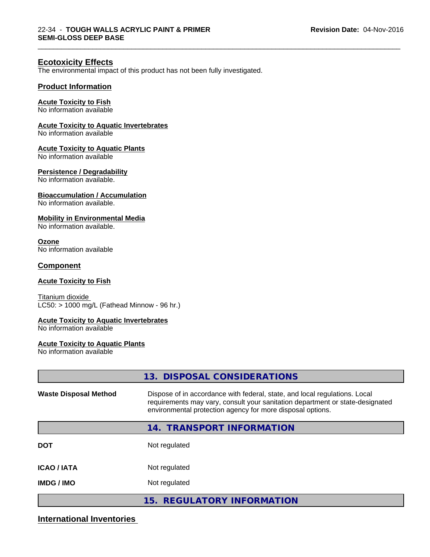\_\_\_\_\_\_\_\_\_\_\_\_\_\_\_\_\_\_\_\_\_\_\_\_\_\_\_\_\_\_\_\_\_\_\_\_\_\_\_\_\_\_\_\_\_\_\_\_\_\_\_\_\_\_\_\_\_\_\_\_\_\_\_\_\_\_\_\_\_\_\_\_\_\_\_\_\_\_\_\_\_\_\_\_\_\_\_\_\_\_\_\_\_

# **Ecotoxicity Effects**

The environmental impact of this product has not been fully investigated.

## **Product Information**

#### **Acute Toxicity to Fish**

No information available

# **Acute Toxicity to Aquatic Invertebrates**

No information available

#### **Acute Toxicity to Aquatic Plants**

No information available

#### **Persistence / Degradability**

No information available.

#### **Bioaccumulation / Accumulation**

No information available.

### **Mobility in Environmental Media**

No information available.

#### **Ozone**

No information available

### **Component**

#### **Acute Toxicity to Fish**

Titanium dioxide  $LC50:$  > 1000 mg/L (Fathead Minnow - 96 hr.)

#### **Acute Toxicity to Aquatic Invertebrates**

No information available

#### **Acute Toxicity to Aquatic Plants**

No information available

|                              | 13. DISPOSAL CONSIDERATIONS                                                                                                                                                                                               |
|------------------------------|---------------------------------------------------------------------------------------------------------------------------------------------------------------------------------------------------------------------------|
| <b>Waste Disposal Method</b> | Dispose of in accordance with federal, state, and local regulations. Local<br>requirements may vary, consult your sanitation department or state-designated<br>environmental protection agency for more disposal options. |
|                              | <b>TRANSPORT INFORMATION</b><br>14.                                                                                                                                                                                       |
| <b>DOT</b>                   | Not regulated                                                                                                                                                                                                             |
| <b>ICAO/IATA</b>             | Not regulated                                                                                                                                                                                                             |
| <b>IMDG / IMO</b>            | Not regulated                                                                                                                                                                                                             |
|                              | 15. REGULATORY INFORMATION                                                                                                                                                                                                |

# **International Inventories**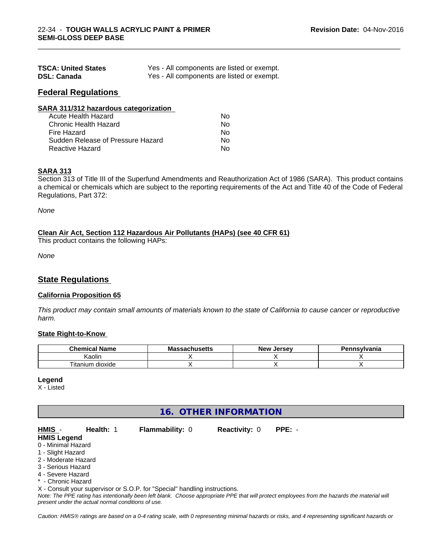| <b>TSCA: United States</b> | Yes - All components are listed or exempt. |
|----------------------------|--------------------------------------------|
| <b>DSL: Canada</b>         | Yes - All components are listed or exempt. |

# **Federal Regulations**

| SARA 311/312 hazardous categorization |    |  |
|---------------------------------------|----|--|
| Acute Health Hazard                   | Nο |  |
| Chronic Health Hazard                 | Nο |  |
| Fire Hazard                           | No |  |
| Sudden Release of Pressure Hazard     | Nο |  |
| <b>Reactive Hazard</b>                | Nο |  |

### **SARA 313**

Section 313 of Title III of the Superfund Amendments and Reauthorization Act of 1986 (SARA). This product contains a chemical or chemicals which are subject to the reporting requirements of the Act and Title 40 of the Code of Federal Regulations, Part 372:

\_\_\_\_\_\_\_\_\_\_\_\_\_\_\_\_\_\_\_\_\_\_\_\_\_\_\_\_\_\_\_\_\_\_\_\_\_\_\_\_\_\_\_\_\_\_\_\_\_\_\_\_\_\_\_\_\_\_\_\_\_\_\_\_\_\_\_\_\_\_\_\_\_\_\_\_\_\_\_\_\_\_\_\_\_\_\_\_\_\_\_\_\_

*None*

#### **Clean Air Act,Section 112 Hazardous Air Pollutants (HAPs) (see 40 CFR 61)**

This product contains the following HAPs:

*None*

# **State Regulations**

#### **California Proposition 65**

This product may contain small amounts of materials known to the state of California to cause cancer or reproductive *harm.*

#### **State Right-to-Know**

| - -<br>∩hem.<br>' Nam⊾<br>         | - -<br><b>NIC</b><br>uscus | Jersey.<br><b>Nev</b> | svivania |
|------------------------------------|----------------------------|-----------------------|----------|
| $\cdots$<br>Kaolin                 |                            |                       |          |
| --<br><br>dioxide<br>um<br>litanii |                            |                       |          |

#### **Legend**

X - Listed

# **16. OTHER INFORMATION**

| HMIS -             | <b>Health: 1</b> | <b>Flammability: 0</b> | <b>Reactivity: 0</b> | PPE: - |  |
|--------------------|------------------|------------------------|----------------------|--------|--|
| <b>HMIS Legend</b> |                  |                        |                      |        |  |
| 0 - Minimal Hazard |                  |                        |                      |        |  |
| 1 - Slight Hazard  |                  |                        |                      |        |  |
| O Moderate Hererd  |                  |                        |                      |        |  |

- 2 Moderate Hazard
- 3 Serious Hazard
- 4 Severe Hazard
- \* Chronic Hazard

X - Consult your supervisor or S.O.P. for "Special" handling instructions.

*Note: The PPE rating has intentionally been left blank. Choose appropriate PPE that will protect employees from the hazards the material will present under the actual normal conditions of use.*

*Caution: HMISÒ ratings are based on a 0-4 rating scale, with 0 representing minimal hazards or risks, and 4 representing significant hazards or*